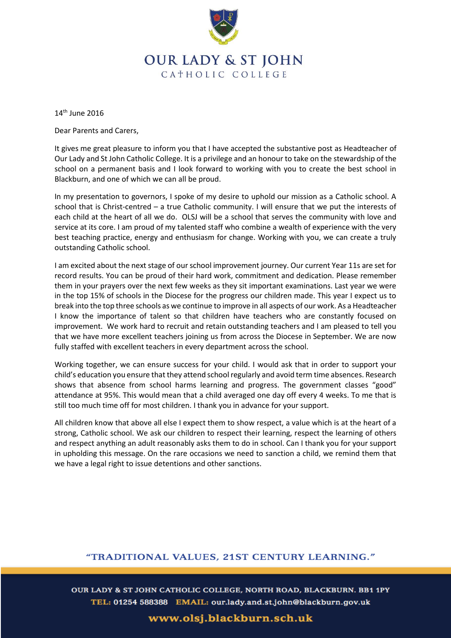

## **OUR LADY & ST JOHN** CATHOLIC COLLEGE

14th June 2016

Dear Parents and Carers,

It gives me great pleasure to inform you that I have accepted the substantive post as Headteacher of Our Lady and St John Catholic College. It is a privilege and an honour to take on the stewardship of the school on a permanent basis and I look forward to working with you to create the best school in Blackburn, and one of which we can all be proud.

In my presentation to governors, I spoke of my desire to uphold our mission as a Catholic school. A school that is Christ-centred – a true Catholic community. I will ensure that we put the interests of each child at the heart of all we do. OLSJ will be a school that serves the community with love and service at its core. I am proud of my talented staff who combine a wealth of experience with the very best teaching practice, energy and enthusiasm for change. Working with you, we can create a truly outstanding Catholic school.

I am excited about the next stage of our school improvement journey. Our current Year 11s are set for record results. You can be proud of their hard work, commitment and dedication. Please remember them in your prayers over the next few weeks as they sit important examinations. Last year we were in the top 15% of schools in the Diocese for the progress our children made. This year I expect us to break into the top three schools as we continue to improve in all aspects of our work. As a Headteacher I know the importance of talent so that children have teachers who are constantly focused on improvement. We work hard to recruit and retain outstanding teachers and I am pleased to tell you that we have more excellent teachers joining us from across the Diocese in September. We are now fully staffed with excellent teachers in every department across the school.

Working together, we can ensure success for your child. I would ask that in order to support your child's education you ensure that they attend school regularly and avoid term time absences. Research shows that absence from school harms learning and progress. The government classes "good" attendance at 95%. This would mean that a child averaged one day off every 4 weeks. To me that is still too much time off for most children. I thank you in advance for your support.

All children know that above all else I expect them to show respect, a value which is at the heart of a strong, Catholic school. We ask our children to respect their learning, respect the learning of others and respect anything an adult reasonably asks them to do in school. Can I thank you for your support in upholding this message. On the rare occasions we need to sanction a child, we remind them that we have a legal right to issue detentions and other sanctions.

## "TRADITIONAL VALUES, 21ST CENTURY LEARNING."

OUR LADY & ST JOHN CATHOLIC COLLEGE, NORTH ROAD, BLACKBURN. BB1 1PY TEL: 01254 588388 EMAIL: our.lady.and.st.john@blackburn.gov.uk

www.olsj.blackburn.sch.uk